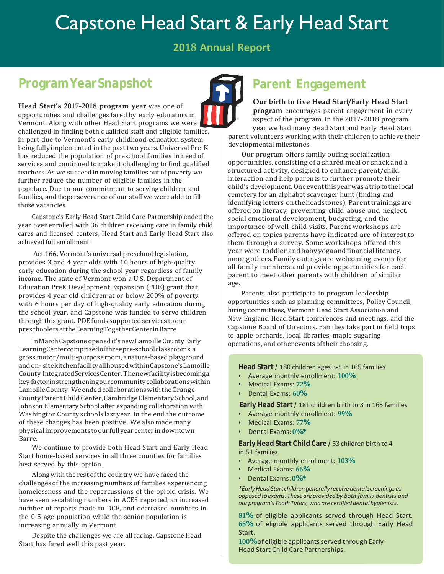# Capstone Head Start & Early Head Start

**2018 Annual Report**

# **Program YearSnapshot**

**Head Start's 2017-2018 program year** was one of opportunities and challenges faced by early educators in Vermont. Along with other Head Start programs we were challenged in finding both qualified staff and eligible families, in part due to Vermont's early childhood education system being fully implemented in the past two years. Universal Pre-K has reduced the population of preschool families in need of services and continued to make it challenging to find qualified teachers. As we succeed in moving families out of poverty we further reduce the number of eligible families in the populace. Due to our commitment to serving children and families, and theperseverance of our staff we were able to fill those vacancies.

 Capstone's Early Head Start Child Care Partnership ended the year over enrolled with 36 children receiving care in family child cares and licensed centers; Head Start and Early Head Start also achieved full enrollment.

Act 166, Vermont's universal preschool legislation, provides 3 and 4 year olds with 10 hours of high-quality early education during the school year regardless of family income. The state of Vermont won a U.S. Department of Education PreK Development Expansion (PDE) grant that provides 4 year old children at or below 200% of poverty with 6 hours per day of high-quality early education during the school year, and Capstone was funded to serve children through this grant. PDE funds supported services to our preschoolersattheLearningTogetherCenterinBarre.

InMarchCapstone openedit'snewLamoilleCountyEarly LearningCentercomprisedofthreepre-schoolclassrooms,a gross motor/multi-purposeroom, a nature-basedplayground andon- sitekitchenfacilityallhousedwithinCapstone'sLamoille County IntegratedServicesCenter. Thenewfacilityisbecominga key factorinstrengtheningourcommunitycollaborationswithin LamoilleCounty. Weended collaborationswiththeOrange County Parent Child Center, Cambridge Elementary School, and Johnson Elementary School after expanding collaboration with Washington County schools last year. In the end the outcome of these changes has been positive. We also made many physicalimprovementstoourfullyearcenterindowntown Barre.

We continue to provide both Head Start and Early Head Start home-based services in all three counties for families best served by this option.

Along with the rest of the country we have faced the challenges of the increasing numbers of families experiencing homelessness and the repercussions of the opioid crisis. We have seen escalating numbers in ACES reported, an increased number of reports made to DCF, and decreased numbers in the 0-5 age population while the senior population is increasing annually in Vermont.

Despite the challenges we are all facing, Capstone Head Start has fared well this past year.

# **Parent Engagement**

#### **Our birth to five Head Start/Early Head Start**

**program** encourages parent engagement in every aspect of the program. In the 2017-2018 program year we had many Head Start and Early Head Start parent volunteers working with their children to achieve their developmental milestones.

Our program offers family outing socialization opportunities, consisting of a shared meal or snack and a structured activity, designed to enhance parent/child interaction and help parents to further promote their child's development. One event this year was a trip to the local cemetery for an alphabet scavenger hunt (finding and identifying letters on the headstones). Parent trainings are offered on literacy, preventing child abuse and neglect, social emotional development, budgeting, and the importance of well-child visits. Parent workshops are offered on topics parents have indicated are of interest to them through a survey. Some workshops offered this year were toddler andbaby yogaandfinancialliteracy, amongothers.Family outings are welcoming events for all family members and provide opportunities for each parent to meet other parents with children of similar age.

Parents also participate in program leadership opportunities such as planning committees, Policy Council, hiring committees, Vermont Head Start Association and New England Head Start conferences and meetings, and the Capstone Board of Directors. Families take part in field trips to apple orchards, local libraries, maple sugaring operations, and other events oftheir choosing.

**Head Start /** 180 children ages 3-5 in 165 families

- Average monthly enrollment: **100%**
- Medical Exams: **72%**
- Dental Exams: **60%**

**Early Head Start /** 181 children birth to 3 in 165 families

- Average monthly enrollment: **99%**
- Medical Exams: **77%**
- Dental Exams: **0%\***

**Early Head Start Child Care /** 53 children birth to 4 in 51 families

- Average monthly enrollment: **103%**
- Medical Exams: **66%**
- Dental Exams: **0%\***

*\*EarlyHead Start childrengenerally receivedentalscreenings as opposed to exams.Theseareprovidedby both family dentists and ourprogram's Tooth Tutors, whoare certifieddentalhygienists.*

**81%** of eligible applicants served through Head Start. **68%** of eligible applicants served through Early Head Start.

**100%** of eligible applicantsserved through Early Head Start Child Care Partnerships.